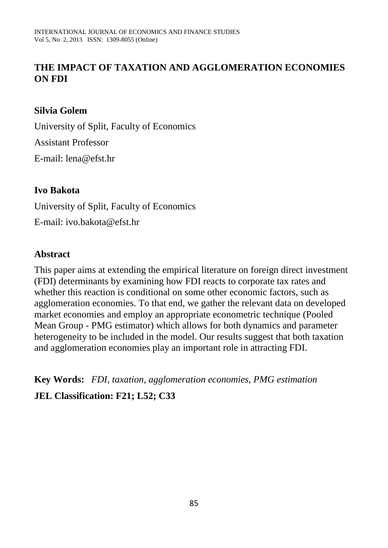# **THE IMPACT OF TAXATION AND AGGLOMERATION ECONOMIES ON FDI**

### **Silvia Golem**

University of Split, Faculty of Economics Assistant Professor E-mail: lena@efst.hr

### **Ivo Bakota**

University of Split, Faculty of Economics E-mail: ivo.bakota@efst.hr

### **Abstract**

This paper aims at extending the empirical literature on foreign direct investment (FDI) determinants by examining how FDI reacts to corporate tax rates and whether this reaction is conditional on some other economic factors, such as agglomeration economies. To that end, we gather the relevant data on developed market economies and employ an appropriate econometric technique (Pooled Mean Group - PMG estimator) which allows for both dynamics and parameter heterogeneity to be included in the model. Our results suggest that both taxation and agglomeration economies play an important role in attracting FDI.

**Key Words:** *FDI, taxation, agglomeration economies, PMG estimation* **JEL Classification: F21; L52; C33**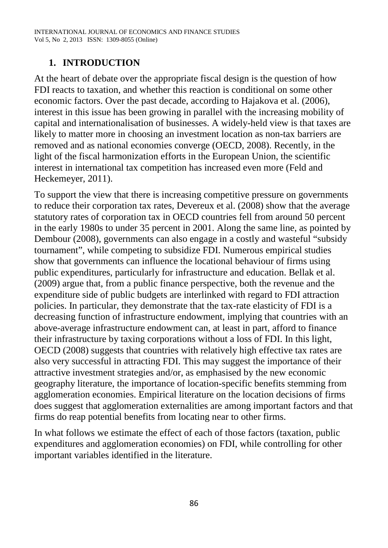## **1. INTRODUCTION**

At the heart of debate over the appropriate fiscal design is the question of how FDI reacts to taxation, and whether this reaction is conditional on some other economic factors. Over the past decade, according to Hajakova et al. (2006), interest in this issue has been growing in parallel with the increasing mobility of capital and internationalisation of businesses. A widely-held view is that taxes are likely to matter more in choosing an investment location as non-tax barriers are removed and as national economies converge (OECD, 2008). Recently, in the light of the fiscal harmonization efforts in the European Union, the scientific interest in international tax competition has increased even more (Feld and Heckemeyer, 2011).

To support the view that there is increasing competitive pressure on governments to reduce their corporation tax rates, Devereux et al. (2008) show that the average statutory rates of corporation tax in OECD countries fell from around 50 percent in the early 1980s to under 35 percent in 2001. Along the same line, as pointed by Dembour (2008), governments can also engage in a costly and wasteful "subsidy tournament", while competing to subsidize FDI. Numerous empirical studies show that governments can influence the locational behaviour of firms using public expenditures, particularly for infrastructure and education. Bellak et al. (2009) argue that, from a public finance perspective, both the revenue and the expenditure side of public budgets are interlinked with regard to FDI attraction policies. In particular, they demonstrate that the tax-rate elasticity of FDI is a decreasing function of infrastructure endowment, implying that countries with an above-average infrastructure endowment can, at least in part, afford to finance their infrastructure by taxing corporations without a loss of FDI. In this light, OECD (2008) suggests that countries with relatively high effective tax rates are also very successful in attracting FDI. This may suggest the importance of their attractive investment strategies and/or, as emphasised by the new economic geography literature, the importance of location-specific benefits stemming from agglomeration economies. Empirical literature on the location decisions of firms does suggest that agglomeration externalities are among important factors and that firms do reap potential benefits from locating near to other firms.

In what follows we estimate the effect of each of those factors (taxation, public expenditures and agglomeration economies) on FDI, while controlling for other important variables identified in the literature.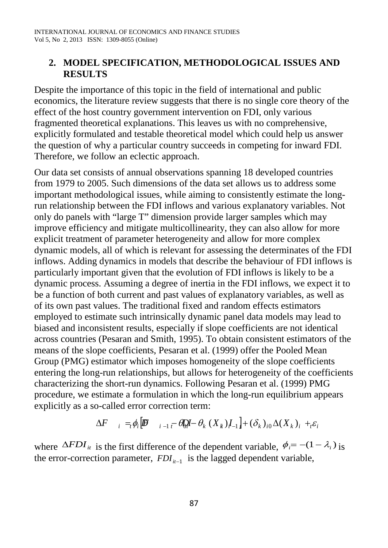### **2. MODEL SPECIFICATION, METHODOLOGICAL ISSUES AND RESULTS**

Despite the importance of this topic in the field of international and public economics, the literature review suggests that there is no single core theory of the effect of the host country government intervention on FDI, only various fragmented theoretical explanations. This leaves us with no comprehensive, explicitly formulated and testable theoretical model which could help us answer the question of why a particular country succeeds in competing for inward FDI. Therefore, we follow an eclectic approach.

Our data set consists of annual observations spanning 18 developed countries from 1979 to 2005. Such dimensions of the data set allows us to address some important methodological issues, while aiming to consistently estimate the longrun relationship between the FDI inflows and various explanatory variables. Not only do panels with "large T" dimension provide larger samples which may improve efficiency and mitigate multicollinearity, they can also allow for more explicit treatment of parameter heterogeneity and allow for more complex dynamic models, all of which is relevant for assessing the determinates of the FDI inflows. Adding dynamics in models that describe the behaviour of FDI inflows is particularly important given that the evolution of FDI inflows is likely to be a dynamic process. Assuming a degree of inertia in the FDI inflows, we expect it to be a function of both current and past values of explanatory variables, as well as of its own past values. The traditional fixed and random effects estimators employed to estimate such intrinsically dynamic panel data models may lead to biased and inconsistent results, especially if slope coefficients are not identical across countries (Pesaran and Smith, 1995). To obtain consistent estimators of the means of the slope coefficients, Pesaran et al. (1999) offer the Pooled Mean Group (PMG) estimator which imposes homogeneity of the slope coefficients entering the long-run relationships, but allows for heterogeneity of the coefficients characterizing the short-run dynamics. Following Pesaran et al. (1999) PMG procedure, we estimate a formulation in which the long-run equilibrium appears explicitly as a so-called error correction term:

$$
\Delta F_{i} =_{i} \phi_{i} \left[ \mathbf{B} \mathbf{B} \quad i-1 \right]_{i} - \theta_{0} \mathbf{B} - \theta_{k} \left( X_{k} \right) \mathbf{I}_{i} + \left( \delta_{k} \right)_{i} \Delta(X_{k})_{i} +_{i} \varepsilon_{i}
$$

where  $\Delta FDI_{it}$  is the first difference of the dependent variable,  $\phi_i = -(1 - \lambda_i)$  is the error-correction parameter,  $FDI_{i-1}$  is the lagged dependent variable,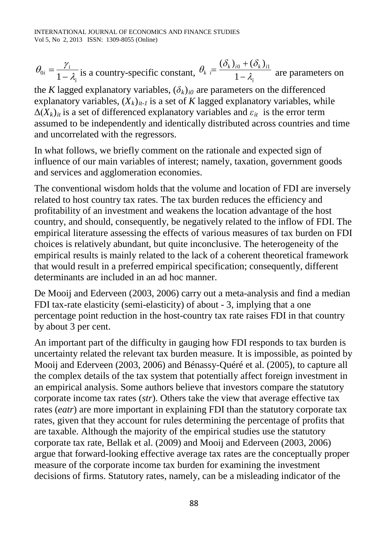*i*  $\theta_{0i} = \frac{\gamma_i}{1 - \lambda_i}$  is a country-specific constant,  $\theta_k = \frac{(O_k)_{i0} + (O_k)}{1 - \lambda_i}$  $\theta_k = \frac{(\delta_k)_{i0} + (\delta_k)_{i1}}{1 - \lambda_i}$ are parameters on

the *K* lagged explanatory variables,  $(\delta_k)_{i0}$  are parameters on the differenced explanatory variables,  $(X_k)_{it-1}$  is a set of *K* lagged explanatory variables, while  $\Delta(X_k)_{it}$  is a set of differenced explanatory variables and  $\varepsilon_{it}$  is the error term assumed to be independently and identically distributed across countries and time and uncorrelated with the regressors.

In what follows, we briefly comment on the rationale and expected sign of influence of our main variables of interest; namely, taxation, government goods and services and agglomeration economies.

The conventional wisdom holds that the volume and location of FDI are inversely related to host country tax rates. The tax burden reduces the efficiency and profitability of an investment and weakens the location advantage of the host country, and should, consequently, be negatively related to the inflow of FDI. The empirical literature assessing the effects of various measures of tax burden on FDI choices is relatively abundant, but quite inconclusive. The heterogeneity of the empirical results is mainly related to the lack of a coherent theoretical framework that would result in a preferred empirical specification; consequently, different determinants are included in an ad hoc manner.

De Mooij and Ederveen (2003, 2006) carry out a meta-analysis and find a median FDI tax-rate elasticity (semi-elasticity) of about - 3, implying that a one percentage point reduction in the host-country tax rate raises FDI in that country by about 3 per cent.

An important part of the difficulty in gauging how FDI responds to tax burden is uncertainty related the relevant tax burden measure. It is impossible, as pointed by Mooij and Ederveen (2003, 2006) and Bénassy-Quéré et al. (2005), to capture all the complex details of the tax system that potentially affect foreign investment in an empirical analysis. Some authors believe that investors compare the statutory corporate income tax rates (*str*). Others take the view that average effective tax rates (*eatr*) are more important in explaining FDI than the statutory corporate tax rates, given that they account for rules determining the percentage of profits that are taxable. Although the majority of the empirical studies use the statutory corporate tax rate, Bellak et al. (2009) and Mooij and Ederveen (2003, 2006) argue that forward-looking effective average tax rates are the conceptually proper measure of the corporate income tax burden for examining the investment decisions of firms. Statutory rates, namely, can be a misleading indicator of the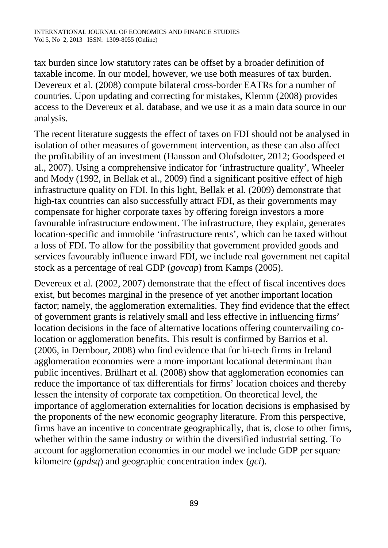tax burden since low statutory rates can be offset by a broader definition of taxable income. In our model, however, we use both measures of tax burden. Devereux et al. (2008) compute bilateral cross-border EATRs for a number of countries. Upon updating and correcting for mistakes, Klemm (2008) provides access to the Devereux et al. database, and we use it as a main data source in our analysis.

The recent literature suggests the effect of taxes on FDI should not be analysed in isolation of other measures of government intervention, as these can also affect the profitability of an investment (Hansson and Olofsdotter, 2012; Goodspeed et al., 2007). Using a comprehensive indicator for 'infrastructure quality', Wheeler and Mody (1992, in Bellak et al., 2009) find a significant positive effect of high infrastructure quality on FDI. In this light, Bellak et al. (2009) demonstrate that high-tax countries can also successfully attract FDI, as their governments may compensate for higher corporate taxes by offering foreign investors a more favourable infrastructure endowment. The infrastructure, they explain, generates location-specific and immobile 'infrastructure rents', which can be taxed without a loss of FDI. To allow for the possibility that government provided goods and services favourably influence inward FDI, we include real government net capital stock as a percentage of real GDP (*govcap*) from Kamps (2005).

Devereux et al. (2002, 2007) demonstrate that the effect of fiscal incentives does exist, but becomes marginal in the presence of yet another important location factor; namely, the agglomeration externalities. They find evidence that the effect of government grants is relatively small and less effective in influencing firms' location decisions in the face of alternative locations offering countervailing colocation or agglomeration benefits. This result is confirmed by Barrios et al. (2006, in Dembour, 2008) who find evidence that for hi-tech firms in Ireland agglomeration economies were a more important locational determinant than public incentives. Brülhart et al. (2008) show that agglomeration economies can reduce the importance of tax differentials for firms' location choices and thereby lessen the intensity of corporate tax competition. On theoretical level, the importance of agglomeration externalities for location decisions is emphasised by the proponents of the new economic geography literature. From this perspective, firms have an incentive to concentrate geographically, that is, close to other firms, whether within the same industry or within the diversified industrial setting. To account for agglomeration economies in our model we include GDP per square kilometre (*gpdsq*) and geographic concentration index (*gci*).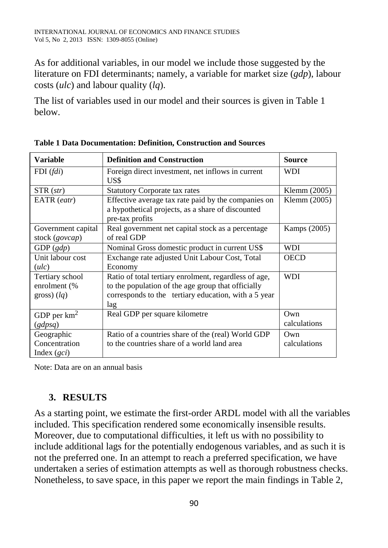As for additional variables, in our model we include those suggested by the literature on FDI determinants; namely, a variable for market size (*gdp*), labour costs (*ulc*) and labour quality (*lq*).

The list of variables used in our model and their sources is given in Table 1 below.

| <b>Variable</b>                                               | <b>Definition and Construction</b>                                                                                                                                         | <b>Source</b>       |
|---------------------------------------------------------------|----------------------------------------------------------------------------------------------------------------------------------------------------------------------------|---------------------|
| $FDI$ ( <i>fdi</i> )                                          | Foreign direct investment, net inflows in current<br>US\$                                                                                                                  | <b>WDI</b>          |
| $STR\left( str\right)$                                        | <b>Statutory Corporate tax rates</b>                                                                                                                                       | Klemm (2005)        |
| EATR (eatr)                                                   | Effective average tax rate paid by the companies on                                                                                                                        | Klemm (2005)        |
|                                                               | a hypothetical projects, as a share of discounted<br>pre-tax profits                                                                                                       |                     |
| Government capital<br>stock (govcap)                          | Real government net capital stock as a percentage<br>of real GDP                                                                                                           | Kamps (2005)        |
| GDP(gdp)                                                      | Nominal Gross domestic product in current US\$                                                                                                                             | WDI                 |
| Unit labour cost                                              | Exchange rate adjusted Unit Labour Cost, Total                                                                                                                             | <b>OECD</b>         |
| (ulc)                                                         | Economy                                                                                                                                                                    |                     |
| Tertiary school<br>enrolment (%<br>$\left(\frac{1}{q}\right)$ | Ratio of total tertiary enrolment, regardless of age,<br>to the population of the age group that officially<br>corresponds to the tertiary education, with a 5 year<br>lag | <b>WDI</b>          |
| GDP per $km^2$<br>(gdpsq)                                     | Real GDP per square kilometre                                                                                                                                              | Own<br>calculations |
| Geographic<br>Concentration<br>Index $(gci)$                  | Ratio of a countries share of the (real) World GDP<br>to the countries share of a world land area                                                                          | Own<br>calculations |

**Table 1 Data Documentation: Definition, Construction and Sources** 

Note: Data are on an annual basis

## **3. RESULTS**

As a starting point, we estimate the first-order ARDL model with all the variables included. This specification rendered some economically insensible results. Moreover, due to computational difficulties, it left us with no possibility to include additional lags for the potentially endogenous variables, and as such it is not the preferred one. In an attempt to reach a preferred specification, we have undertaken a series of estimation attempts as well as thorough robustness checks. Nonetheless, to save space, in this paper we report the main findings in Table 2,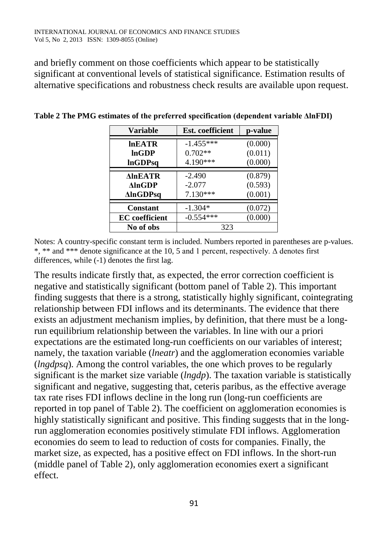and briefly comment on those coefficients which appear to be statistically significant at conventional levels of statistical significance. Estimation results of alternative specifications and robustness check results are available upon request.

| <b>Variable</b>        | <b>Est.</b> coefficient | p-value |
|------------------------|-------------------------|---------|
|                        |                         |         |
| <b>InEATR</b>          | $-1.455***$             | (0.000) |
| lnGDP                  | $0.702**$               | (0.011) |
| <b>InGDPsq</b>         | 4.190***                | (0.000) |
|                        |                         |         |
| <b>AInEATR</b>         | $-2.490$                | (0.879) |
| $\Delta$ ln $\bf{GDP}$ | $-2.077$                | (0.593) |
| <b>AlnGDPsq</b>        | $7.130***$              | (0.001) |
|                        |                         |         |
| <b>Constant</b>        | $-1.304*$               | (0.072) |
| <b>EC</b> coefficient  | $-0.554***$             | (0.000) |
| No of obs              | 323                     |         |

**Table 2 The PMG estimates of the preferred specification (dependent variable ΔlnFDI)**

Notes: A country-specific constant term is included. Numbers reported in parentheses are p-values. \*, \*\* and \*\*\* denote significance at the 10, 5 and 1 percent, respectively.  $\Delta$  denotes first differences, while (-1) denotes the first lag.

The results indicate firstly that, as expected, the error correction coefficient is negative and statistically significant (bottom panel of Table 2). This important finding suggests that there is a strong, statistically highly significant, cointegrating relationship between FDI inflows and its determinants. The evidence that there exists an adjustment mechanism implies, by definition, that there must be a longrun equilibrium relationship between the variables. In line with our a priori expectations are the estimated long-run coefficients on our variables of interest; namely, the taxation variable (*lneatr*) and the agglomeration economies variable (*lngdpsq*). Among the control variables, the one which proves to be regularly significant is the market size variable (*lngdp*). The taxation variable is statistically significant and negative, suggesting that, ceteris paribus, as the effective average tax rate rises FDI inflows decline in the long run (long-run coefficients are reported in top panel of Table 2). The coefficient on agglomeration economies is highly statistically significant and positive. This finding suggests that in the longrun agglomeration economies positively stimulate FDI inflows. Agglomeration economies do seem to lead to reduction of costs for companies. Finally, the market size, as expected, has a positive effect on FDI inflows. In the short-run (middle panel of Table 2), only agglomeration economies exert a significant effect.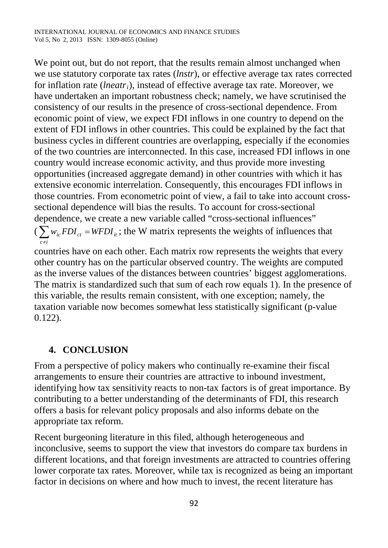We point out, but do not report, that the results remain almost unchanged when we use statutory corporate tax rates (*lnstr*), or effective average tax rates corrected for inflation rate (*lneatri*), instead of effective average tax rate. Moreover, we have undertaken an important robustness check; namely, we have scrutinised the consistency of our results in the presence of cross-sectional dependence. From economic point of view, we expect FDI inflows in one country to depend on the extent of FDI inflows in other countries. This could be explained by the fact that business cycles in different countries are overlapping, especially if the economies of the two countries are interconnected. In this case, increased FDI inflows in one country would increase economic activity, and thus provide more investing opportunities (increased aggregate demand) in other countries with which it has extensive economic interrelation. Consequently, this encourages FDI inflows in those countries. From econometric point of view, a fail to take into account crosssectional dependence will bias the results. To account for cross-sectional dependence, we create a new variable called "cross-sectional influences"  $\left(\sum w_{ic} FDI_{ct} = WFDI_{it}\right)$  $\sum_{c \neq i} w_{ic} FDI_{ct} = WFDI$ ; the W matrix represents the weights of influences that

countries have on each other. Each matrix row represents the weights that every other country has on the particular observed country. The weights are computed as the inverse values of the distances between countries' biggest agglomerations. The matrix is standardized such that sum of each row equals 1). In the presence of this variable, the results remain consistent, with one exception; namely, the taxation variable now becomes somewhat less statistically significant (p-value 0.122).

### **4. CONCLUSION**

From a perspective of policy makers who continually re-examine their fiscal arrangements to ensure their countries are attractive to inbound investment, identifying how tax sensitivity reacts to non-tax factors is of great importance. By contributing to a better understanding of the determinants of FDI, this research offers a basis for relevant policy proposals and also informs debate on the appropriate tax reform.

Recent burgeoning literature in this filed, although heterogeneous and inconclusive, seems to support the view that investors do compare tax burdens in different locations, and that foreign investments are attracted to countries offering lower corporate tax rates. Moreover, while tax is recognized as being an important factor in decisions on where and how much to invest, the recent literature has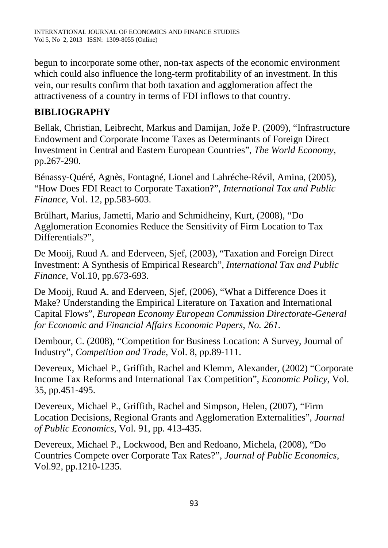begun to incorporate some other, non-tax aspects of the economic environment which could also influence the long-term profitability of an investment. In this vein, our results confirm that both taxation and agglomeration affect the attractiveness of a country in terms of FDI inflows to that country.

# **BIBLIOGRAPHY**

Bellak, Christian, Leibrecht, Markus and Damijan, Jože P. (2009), "Infrastructure Endowment and Corporate Income Taxes as Determinants of Foreign Direct Investment in Central and Eastern European Countries", *The World Economy*, pp.267-290.

Bénassy-Quéré, Agnès, Fontagné, Lionel and Lahréche-Révil, Amina, (2005), "How Does FDI React to Corporate Taxation?", *International Tax and Public Finance*, Vol. 12, pp.583-603.

Brülhart, Marius, Jametti, Mario and Schmidheiny, Kurt, (2008), "Do Agglomeration Economies Reduce the Sensitivity of Firm Location to Tax Differentials?".

De Mooij, Ruud A. and Ederveen, Sjef, (2003), "Taxation and Foreign Direct Investment: A Synthesis of Empirical Research", *International Tax and Public Finance*, Vol.10, pp.673-693.

De Mooij, Ruud A. and Ederveen, Sjef, (2006), "What a Difference Does it Make? Understanding the Empirical Literature on Taxation and International Capital Flows", *European Economy European Commission Directorate-General for Economic and Financial Affairs Economic Papers, No. 261.*

Dembour, C. (2008), "Competition for Business Location: A Survey, Journal of Industry", *Competition and Trade*, Vol. 8, pp.89-111.

Devereux, Michael P., Griffith, Rachel and Klemm, Alexander, (2002) "Corporate Income Tax Reforms and International Tax Competition", *Economic Policy*, Vol. 35, pp.451-495.

Devereux, Michael P., Griffith, Rachel and Simpson, Helen, (2007), "Firm Location Decisions, Regional Grants and Agglomeration Externalities", *Journal of Public Economics*, Vol. 91, pp. 413-435.

Devereux, Michael P., Lockwood, Ben and Redoano, Michela, (2008), "Do Countries Compete over Corporate Tax Rates?", *Journal of Public Economics*, Vol.92, pp.1210-1235.